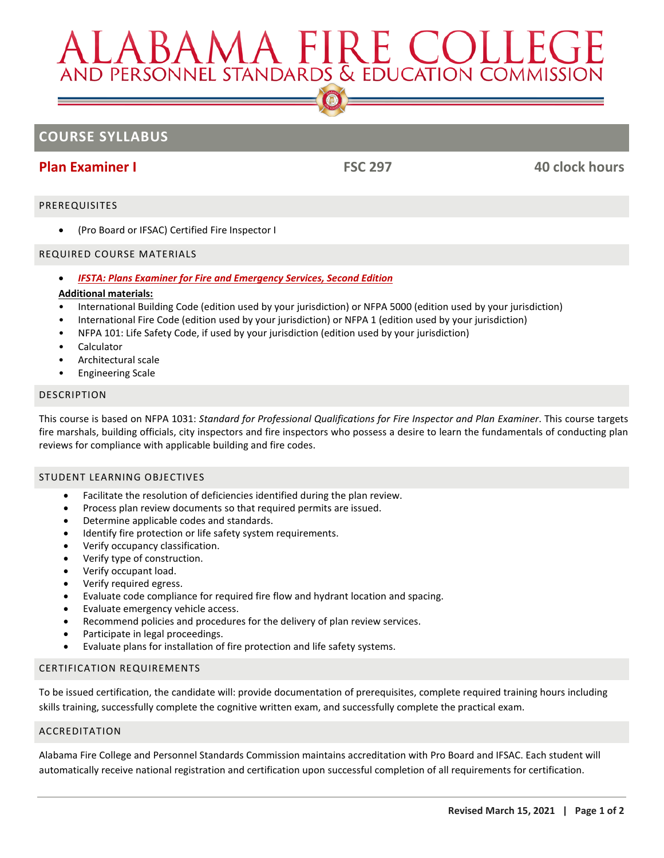# AND PERSONNEL STANDARDS & EDUCATION COMMISSIO

# **COURSE SYLLABUS**

# **Plan Examiner I FSC 297 40 clock hours**

### PREREQUISITES

• (Pro Board or IFSAC) Certified Fire Inspector I

### REQUIRED COURSE MATERIALS

• *[IFSTA: Plans Examiner for Fire and Emergency Services, Second Edition](http://afcbookstore.com/store/product/2614/Plans-Examiner-2nd-Ed/)*

### **Additional materials:**

- International Building Code (edition used by your jurisdiction) or NFPA 5000 (edition used by your jurisdiction)
- International Fire Code (edition used by your jurisdiction) or NFPA 1 (edition used by your jurisdiction)
- NFPA 101: Life Safety Code, if used by your jurisdiction (edition used by your jurisdiction)
- **Calculator**
- Architectural scale
- Engineering Scale

### DESCRIPTION

This course is based on NFPA 1031: *Standard for Professional Qualifications for Fire Inspector and Plan Examiner*. This course targets fire marshals, building officials, city inspectors and fire inspectors who possess a desire to learn the fundamentals of conducting plan reviews for compliance with applicable building and fire codes.

### STUDENT LEARNING OBJECTIVES

- Facilitate the resolution of deficiencies identified during the plan review.
- Process plan review documents so that required permits are issued.
- Determine applicable codes and standards.
- Identify fire protection or life safety system requirements.
- Verify occupancy classification.
- Verify type of construction.
- Verify occupant load.
- Verify required egress.
- Evaluate code compliance for required fire flow and hydrant location and spacing.
- Evaluate emergency vehicle access.
- Recommend policies and procedures for the delivery of plan review services.
- Participate in legal proceedings.
- Evaluate plans for installation of fire protection and life safety systems.

### CERTIFICATION REQUIREMENTS

To be issued certification, the candidate will: provide documentation of prerequisites, complete required training hours including skills training, successfully complete the cognitive written exam, and successfully complete the practical exam.

### ACCREDITATION

Alabama Fire College and Personnel Standards Commission maintains accreditation with Pro Board and IFSAC. Each student will automatically receive national registration and certification upon successful completion of all requirements for certification.